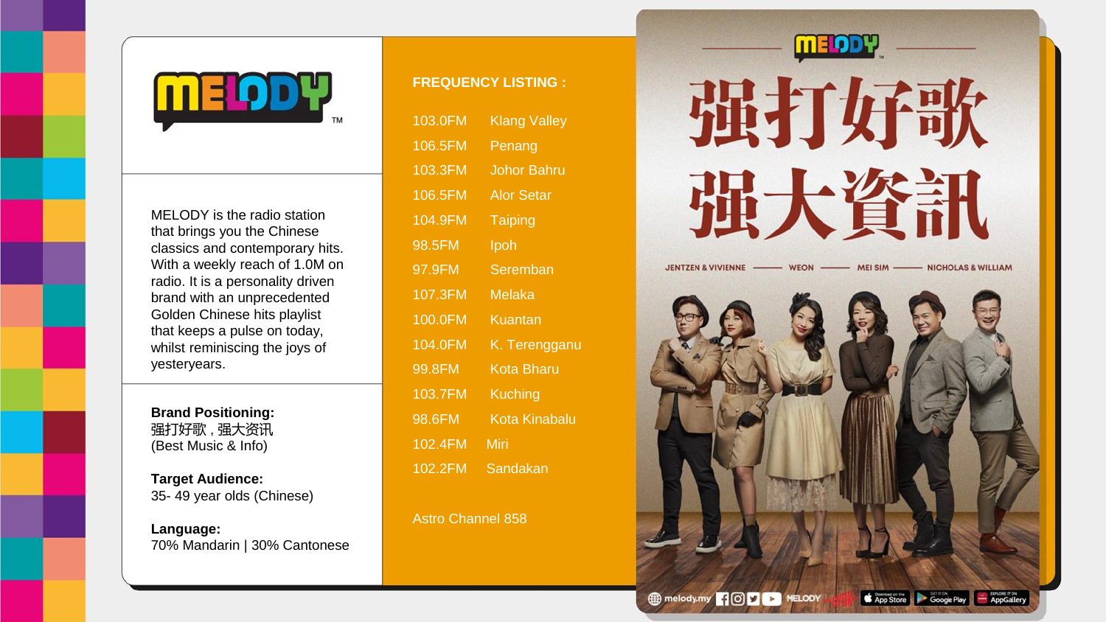

MELODY is the radio station that brings you the Chinese classics and contemporary hits. With a weekly reach of 1.0M on radio. It is a personality driven brand with an unprecedented Golden Chinese hits playlist that keeps a pulse on today, whilst reminiscing the joys of yesteryears.

**Brand Positioning:** 强打好歌 , 强大资讯 (Best Music & Info)

**Target Audience:** 35- 49 year olds (Chinese)

**Language:** 70% Mandarin | 30% Cantonese

## **FREQUENCY LISTING :**

| 103.0FM | <b>Klang Valley</b> |
|---------|---------------------|
| 106.5FM | Penang              |
| 103.3FM | <b>Johor Bahru</b>  |
| 106.5FM | Alor Setar          |
| 104.9FM | Taiping             |
| 98.5FM  | Ipoh                |
| 97.9FM  | Seremban            |
| 107.3FM | Melaka              |
| 100.0FM | Kuantan             |
| 104.0FM | K. Terengganu       |
| 99.8FM  | Kota Bharu          |
| 103.7FM | Kuching             |
| 98.6FM  | Kota Kinabalu       |
| 102.4FM | Miri                |
| 102.2FM | Sandakan            |

Astro Channel 858

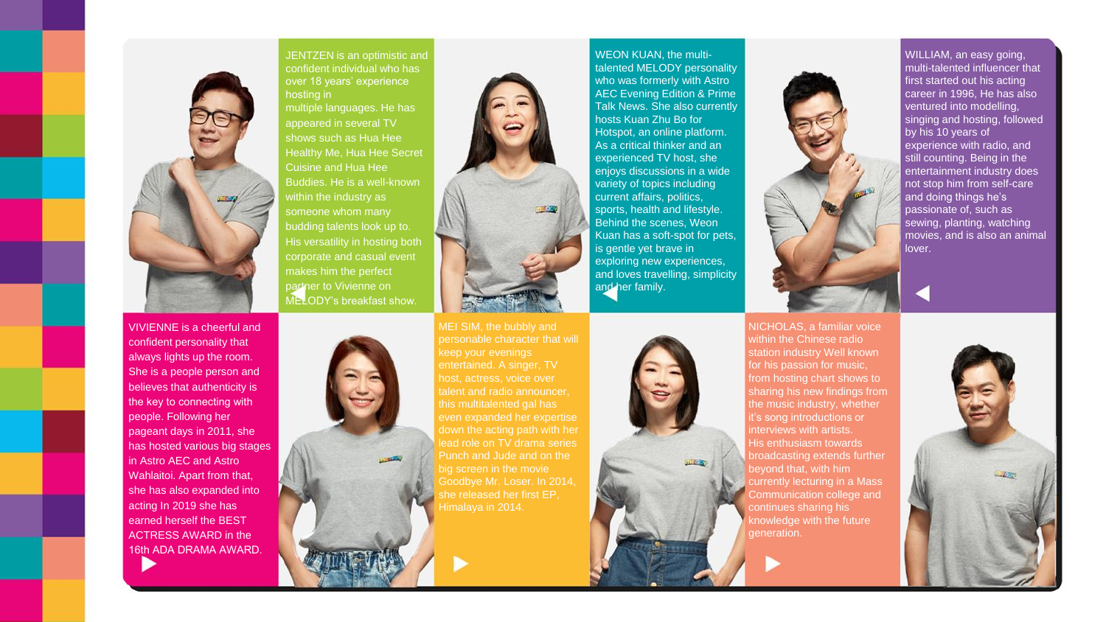

VIVIENNE is a cheerful and confident personality that always lights up the room. She is a people person and believes that authenticity is the key to connecting with people. Following her pageant days in 2011, she has hosted various big stages in Astro AEC and Astro Wahlaitoi. Apart from that, she has also expanded into acting In 2019 she has earned herself the BEST ACTRESS AWARD in the

16th ADA DRAMA AWARD.

JENTZEN is an optimistic and confident individual who has over 18 years' experience hosting in

multiple languages. He has appeared in several TV shows such as Hua Hee Healthy Me, Hua Hee Secret Cuisine and Hua Hee Buddies. He is a well-known within the industry as someone whom many budding talents look up to. His versatility in hosting both corporate and casual event makes him the perfect partner to Vivienne on MELODY's breakfast show.



WEON KUAN, the multitalented MELODY personality who was formerly with Astro AEC Evening Edition & Prime Talk News. She also currently hosts Kuan Zhu Bo for Hotspot, an online platform. As a critical thinker and an experienced TV host, she enjoys discussions in a wide variety of topics including current affairs, politics, sports, health and lifestyle. Behind the scenes, Weon Kuan has a soft-spot for pets, is gentle yet brave in exploring new experiences, and loves travelling, simplicity and her family.



WILLIAM, an easy going. multi-talented influencer that first started out his acting career in 1996, He has also ventured into modelling, singing and hosting, followed by his 10 years of experience with radio, and still counting. Being in the entertainment industry does not stop him from self-care and doing things he's passionate of, such as sewing, planting, watching movies, and is also an animal lover.

NICHOLAS, a familiar voice within the Chinese radio

nterviews with artists.



MEI SIM, the bubbly and personable character that will host, actress, voice over talent and radio announcer, this multitalented gal has ead role on TV drama series Punch and Jude and on the big screen in the movie she released her first EP,